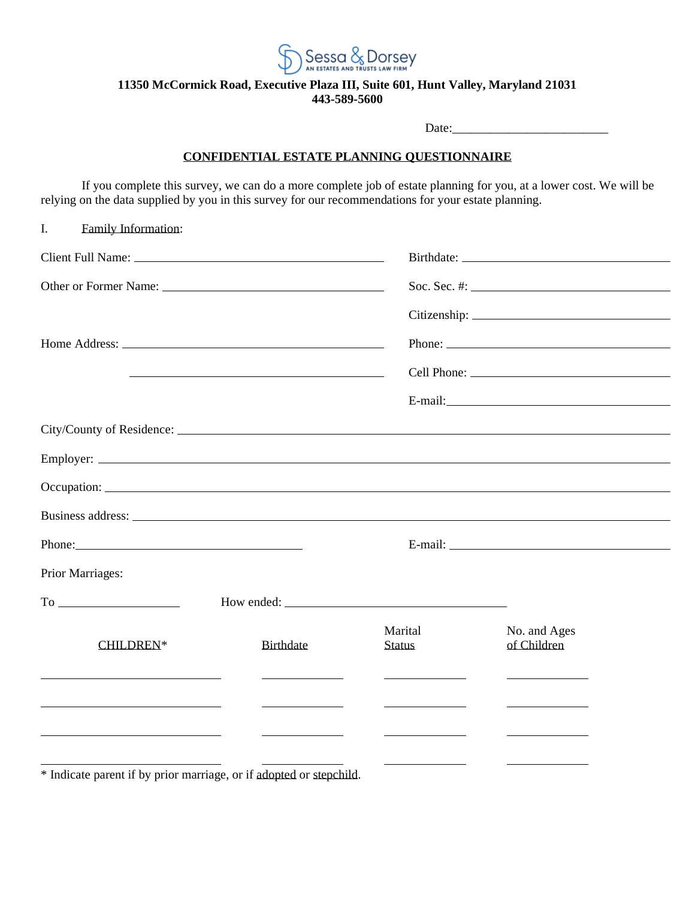

**11350 McCormick Road, Executive Plaza III, Suite 601, Hunt Valley, Maryland 21031 443-589-5600**

Date:

#### **CONFIDENTIAL ESTATE PLANNING QUESTIONNAIRE**

If you complete this survey, we can do a more complete job of estate planning for you, at a lower cost. We will be relying on the data supplied by you in this survey for our recommendations for your estate planning.

| $\mathbf{I}$ .<br>Family Information:                                                                                 |                                                |                                                                                                                                                                         |                                                                                                                                                                                                                                      |  |  |
|-----------------------------------------------------------------------------------------------------------------------|------------------------------------------------|-------------------------------------------------------------------------------------------------------------------------------------------------------------------------|--------------------------------------------------------------------------------------------------------------------------------------------------------------------------------------------------------------------------------------|--|--|
|                                                                                                                       |                                                |                                                                                                                                                                         |                                                                                                                                                                                                                                      |  |  |
| Other or Former Name: 2008. [2016]                                                                                    |                                                |                                                                                                                                                                         | Soc. Sec. #: $\_$                                                                                                                                                                                                                    |  |  |
|                                                                                                                       |                                                |                                                                                                                                                                         |                                                                                                                                                                                                                                      |  |  |
| <u> 1989 - Johann Barbara, martin amerikan basar dan berasal dan berasal dalam basar dalam basar dalam basar dala</u> |                                                |                                                                                                                                                                         |                                                                                                                                                                                                                                      |  |  |
|                                                                                                                       |                                                |                                                                                                                                                                         |                                                                                                                                                                                                                                      |  |  |
|                                                                                                                       |                                                |                                                                                                                                                                         |                                                                                                                                                                                                                                      |  |  |
|                                                                                                                       |                                                |                                                                                                                                                                         |                                                                                                                                                                                                                                      |  |  |
|                                                                                                                       |                                                |                                                                                                                                                                         |                                                                                                                                                                                                                                      |  |  |
|                                                                                                                       |                                                |                                                                                                                                                                         |                                                                                                                                                                                                                                      |  |  |
|                                                                                                                       |                                                |                                                                                                                                                                         | Business address:                                                                                                                                                                                                                    |  |  |
| Phone:                                                                                                                |                                                |                                                                                                                                                                         |                                                                                                                                                                                                                                      |  |  |
| <b>Prior Marriages:</b>                                                                                               |                                                |                                                                                                                                                                         |                                                                                                                                                                                                                                      |  |  |
|                                                                                                                       |                                                |                                                                                                                                                                         |                                                                                                                                                                                                                                      |  |  |
| CHILDREN*                                                                                                             | <b>Birthdate</b>                               | Marital<br><b>Status</b>                                                                                                                                                | No. and Ages<br>of Children                                                                                                                                                                                                          |  |  |
| <u> 1989 - Johann Stein, marwolaethau a bhann an t-Amhair an t-Amhair an t-Amhair an t-Amhair an t-Amhair an t-A</u>  | <u>and the state of the state of the state</u> | <u>and the state of the state of the state</u><br><u> 1980 - John Barn Barn, mars and de la partie de la partie de la partie de la partie de la partie de la partie</u> | <u> Linda and the company of the company of the company of the company of the company of the company of the company of the company of the company of the company of the company of the company of the company of the company of </u> |  |  |
| <u> 1989 - Johann Stein, mars an de Brazilian (b. 1989)</u>                                                           |                                                |                                                                                                                                                                         | <u> Listen van die Stad van die Stad van die</u>                                                                                                                                                                                     |  |  |
|                                                                                                                       |                                                |                                                                                                                                                                         | <u>and the contract of the contract of the contract of the contract of the contract of the contract of the contract of the contract of the contract of the contract of the contract of the contract of the contract of the contr</u> |  |  |
|                                                                                                                       |                                                |                                                                                                                                                                         |                                                                                                                                                                                                                                      |  |  |

\* Indicate parent if by prior marriage, or if adopted or stepchild.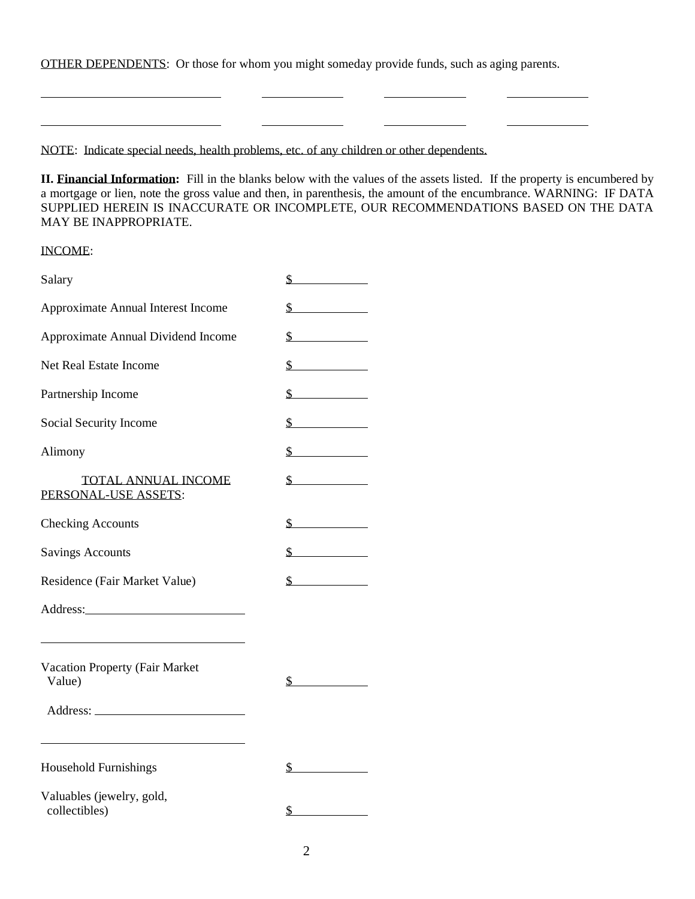OTHER DEPENDENTS: Or those for whom you might someday provide funds, such as aging parents.

<u> The Communication of the Communication</u>

NOTE: Indicate special needs, health problems, etc. of any children or other dependents.

 $\overline{\phantom{a}}$ 

**II. Financial Information:** Fill in the blanks below with the values of the assets listed. If the property is encumbered by a mortgage or lien, note the gross value and then, in parenthesis, the amount of the encumbrance. WARNING: IF DATA SUPPLIED HEREIN IS INACCURATE OR INCOMPLETE, OUR RECOMMENDATIONS BASED ON THE DATA MAY BE INAPPROPRIATE.

### INCOME:

| Salary                                          | $\frac{\sqrt{2}}{2}$        |
|-------------------------------------------------|-----------------------------|
| Approximate Annual Interest Income              | $\sim$                      |
| Approximate Annual Dividend Income              | $\sim$                      |
| <b>Net Real Estate Income</b>                   | $\frac{\text{S}}{\text{S}}$ |
| Partnership Income                              | $\sim$                      |
| Social Security Income                          | $\mathbf{s}$                |
| Alimony                                         | $\frac{\text{S}}{\text{S}}$ |
| TOTAL ANNUAL INCOME<br>PERSONAL-USE ASSETS:     | s                           |
| <b>Checking Accounts</b>                        | $\frac{\text{S}}{\text{S}}$ |
| <b>Savings Accounts</b>                         | $\sim$                      |
| Residence (Fair Market Value)                   | $\frac{\text{S}}{\text{S}}$ |
| Address: No. 1998                               |                             |
| <b>Vacation Property (Fair Market</b><br>Value) | $\mathbf S$ and $\mathbf S$ |
|                                                 |                             |
| <b>Household Furnishings</b>                    | $\mathbb{S}$                |
| Valuables (jewelry, gold,<br>collectibles)      | $\mathbf{s}$                |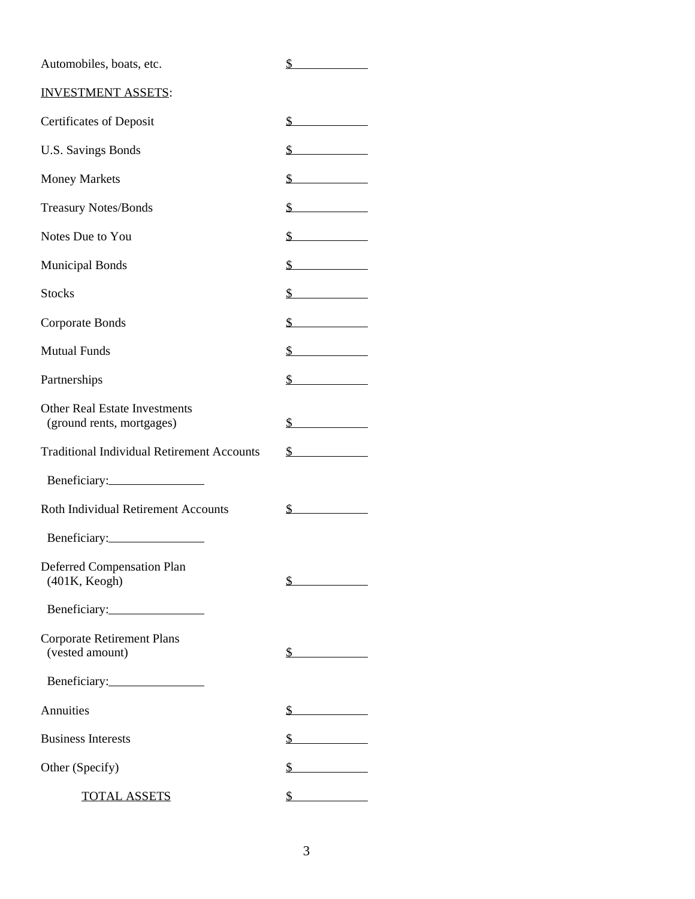Automobiles, boats, etc. \$ INVESTMENT ASSETS: Certificates of Deposit \$ U.S. Savings Bonds \$ Money Markets Shannon Structure Structure Structure Structure Structure Structure Structure Structure Structure Structure Structure Structure Structure Structure Structure Structure Structure Structure Structure Structure Treasury Notes/Bonds \$ Notes Due to You shows see the Second Second Second Second Second Second Second Second Second Second Second Second Second Second Second Second Second Second Second Second Second Second Second Second Second Second Second Se Municipal Bonds \$ Stocks \$ Corporate Bonds \$ Mutual Funds \$ Partnerships \$ Other Real Estate Investments (ground rents, mortgages) \$ Traditional Individual Retirement Accounts \$ Beneficiary: Roth Individual Retirement Accounts \$ Beneficiary: Deferred Compensation Plan (401K, Keogh) \$ Beneficiary: Corporate Retirement Plans (vested amount) \$ Beneficiary: Annuities S Business Interests \$ Other (Specify) \$ TOTAL ASSETS \$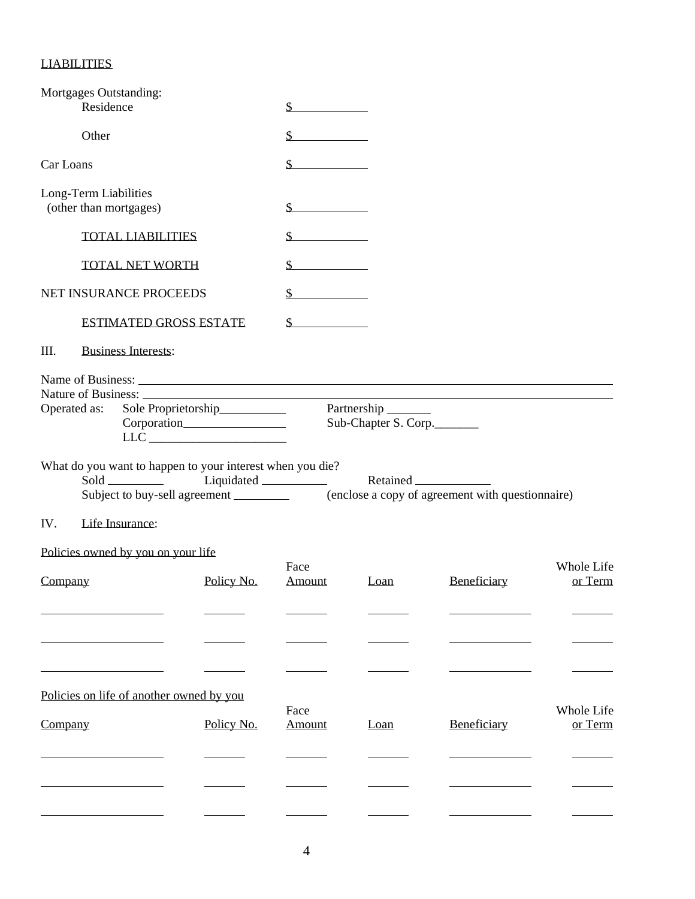# LIABILITIES

|           | Mortgages Outstanding:<br>Residence                       |                                                                                          | $\mathcal{F}$  |                      |             |                              |
|-----------|-----------------------------------------------------------|------------------------------------------------------------------------------------------|----------------|----------------------|-------------|------------------------------|
|           | Other                                                     |                                                                                          | $\mathcal{F}$  |                      |             |                              |
| Car Loans |                                                           |                                                                                          | $\frac{1}{2}$  |                      |             |                              |
|           | Long-Term Liabilities<br>(other than mortgages)           |                                                                                          | $\mathbb{S}$   |                      |             |                              |
|           | <b>TOTAL LIABILITIES</b>                                  |                                                                                          | $\mathbb{S}$   |                      |             |                              |
|           | TOTAL NET WORTH                                           |                                                                                          | $\frac{1}{2}$  |                      |             |                              |
|           | NET INSURANCE PROCEEDS                                    |                                                                                          | $\mathbf{s}$   |                      |             |                              |
|           | <b>ESTIMATED GROSS ESTATE</b>                             |                                                                                          | $\sim$         |                      |             |                              |
| III.      | <b>Business Interests:</b>                                |                                                                                          |                |                      |             |                              |
|           | Operated as:                                              | Sole Proprietorship Partnership<br>Corporation<br>$\begin{tabular}{c} LLC \end{tabular}$ |                | Sub-Chapter S. Corp. |             |                              |
|           | What do you want to happen to your interest when you die? |                                                                                          |                |                      |             |                              |
| IV.       | Life Insurance:                                           |                                                                                          |                |                      |             |                              |
| Company   | Policies owned by you on your life                        | Policy No.                                                                               | Face<br>Amount | Loan                 | Beneficiary | Whole Life<br>or Term        |
| Company   | Policies on life of another owned by you                  | Policy No.                                                                               | Face<br>Amount | Loan                 | Beneficiary | <b>Whole Life</b><br>or Term |
|           |                                                           |                                                                                          |                |                      |             |                              |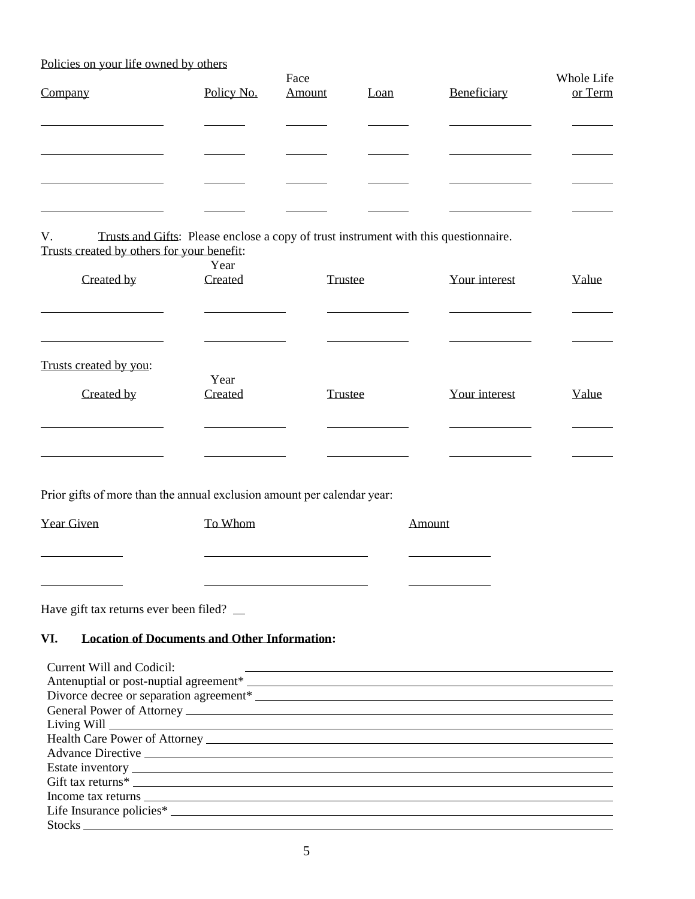## Policies on your life owned by others

Stocks

| Company | Policy No. | Face<br>Amount | Loan | Beneficiary | Whole Life<br>or Term |
|---------|------------|----------------|------|-------------|-----------------------|
|         |            |                |      |             |                       |
|         |            |                |      |             |                       |
|         |            |                |      |             |                       |
|         |            |                |      |             |                       |

V. Trusts and Gifts: Please enclose a copy of trust instrument with this questionnaire. Trusts created by others for your benefit:

| Created by                                                                                   | Year<br>Created                                     | <b>Trustee</b> | Your interest                                                                                                                                                                                                                 | Value |
|----------------------------------------------------------------------------------------------|-----------------------------------------------------|----------------|-------------------------------------------------------------------------------------------------------------------------------------------------------------------------------------------------------------------------------|-------|
| Trusts created by you:<br>Created by                                                         | Year<br>Created                                     | Trustee        | Your interest                                                                                                                                                                                                                 | Value |
| Prior gifts of more than the annual exclusion amount per calendar year:<br><b>Year Given</b> | To Whom                                             |                | Amount                                                                                                                                                                                                                        |       |
| Have gift tax returns ever been filed? __<br>VI.                                             | <b>Location of Documents and Other Information:</b> |                |                                                                                                                                                                                                                               |       |
| Current Will and Codicil:                                                                    |                                                     |                | <u> 1989 - Johann Stoff, deutscher Stoffen und der Stoffen und der Stoffen und der Stoffen und der Stoffen und der</u>                                                                                                        |       |
|                                                                                              |                                                     |                | Divorce decree or separation agreement <sup>*</sup>                                                                                                                                                                           |       |
|                                                                                              |                                                     |                |                                                                                                                                                                                                                               |       |
|                                                                                              |                                                     |                |                                                                                                                                                                                                                               |       |
|                                                                                              |                                                     |                |                                                                                                                                                                                                                               |       |
|                                                                                              |                                                     |                |                                                                                                                                                                                                                               |       |
|                                                                                              |                                                     |                |                                                                                                                                                                                                                               |       |
| Gift tax returns*                                                                            |                                                     |                |                                                                                                                                                                                                                               |       |
|                                                                                              |                                                     |                | Income tax returns expected that the contract of the state of the state of the state of the state of the state of the state of the state of the state of the state of the state of the state of the state of the state of the |       |
| Life Insurance policies*                                                                     |                                                     |                |                                                                                                                                                                                                                               |       |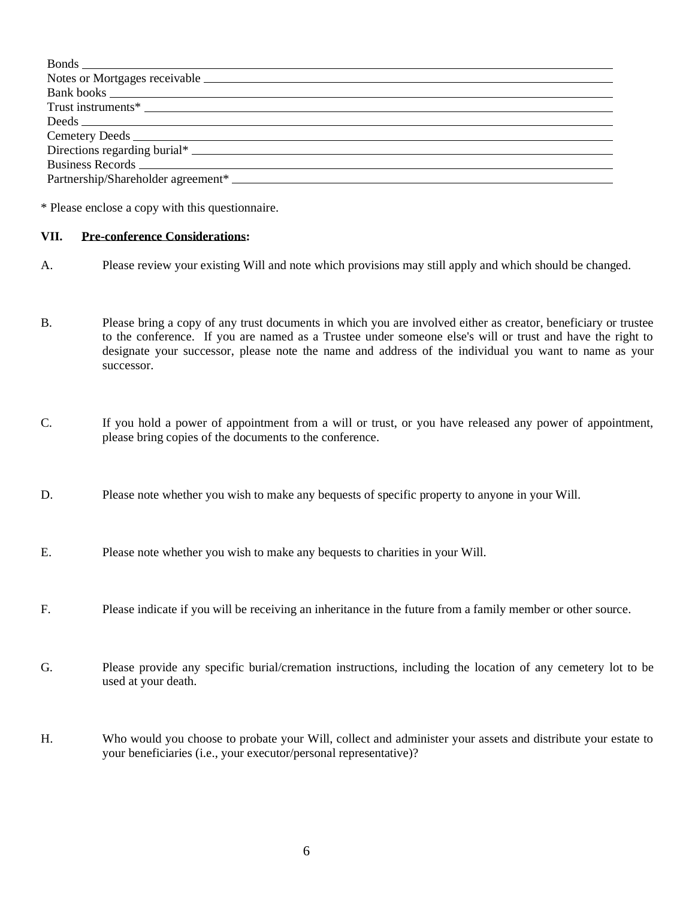| Business Records <u>and</u> the second state of the second state of the second state of the second state of the second state of the second state of the second state of the second state of the second state of the second state of |
|-------------------------------------------------------------------------------------------------------------------------------------------------------------------------------------------------------------------------------------|
| Partnership/Shareholder agreement*                                                                                                                                                                                                  |
|                                                                                                                                                                                                                                     |

\* Please enclose a copy with this questionnaire.

### **VII. Pre-conference Considerations:**

- A. Please review your existing Will and note which provisions may still apply and which should be changed.
- B. Please bring a copy of any trust documents in which you are involved either as creator, beneficiary or trustee to the conference. If you are named as a Trustee under someone else's will or trust and have the right to designate your successor, please note the name and address of the individual you want to name as your successor.
- C. If you hold a power of appointment from a will or trust, or you have released any power of appointment, please bring copies of the documents to the conference.
- D. Please note whether you wish to make any bequests of specific property to anyone in your Will.
- E. Please note whether you wish to make any bequests to charities in your Will.
- F. Please indicate if you will be receiving an inheritance in the future from a family member or other source.
- G. Please provide any specific burial/cremation instructions, including the location of any cemetery lot to be used at your death.
- H. Who would you choose to probate your Will, collect and administer your assets and distribute your estate to your beneficiaries (i.e., your executor/personal representative)?